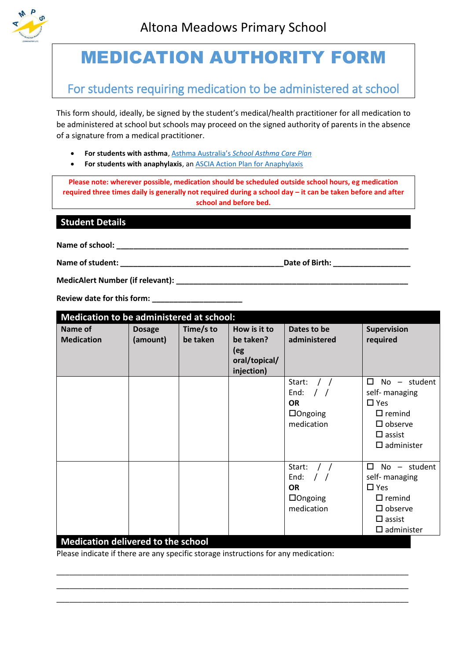

# MEDICATION AUTHORITY FORM

# For students requiring medication to be administered at school

This form should, ideally, be signed by the student's medical/health practitioner for all medication to be administered at school but schools may proceed on the signed authority of parents in the absence of a signature from a medical practitioner.

- **For students with asthma**, Asthma Australia's *[School Asthma Care](https://www.asthmaaustralia.org.au/vic/about-asthma/resources) Plan*
- **For students with anaphylaxis**, an **ASCIA Action Plan for Anaphylaxis**

**Please note: wherever possible, medication should be scheduled outside school hours, eg medication required three times daily is generally not required during a school day – it can be taken before and after school and before bed.**

# **Student Details**

**Name of school: \_\_\_\_\_\_\_\_\_\_\_\_\_\_\_\_\_\_\_\_\_\_\_\_\_\_\_\_\_\_\_\_\_\_\_\_\_\_\_\_\_\_\_\_\_\_\_\_\_\_\_\_\_\_\_\_\_\_\_\_\_\_\_\_\_\_\_\_**

**Name of student: \_\_\_\_\_\_\_\_\_\_\_\_\_\_\_\_\_\_\_\_\_\_\_\_\_\_\_\_\_\_\_\_\_\_\_\_\_\_Date of Birth: \_\_\_\_\_\_\_\_\_\_\_\_\_\_\_\_\_\_**

**MedicAlert Number (if relevant): We are all that the contract of the contract of the contract of the contract of the contract of the contract of the contract of the contract of the contract of the contract of the contract** 

**Review date for this form: \_\_\_\_\_\_\_\_\_\_\_\_\_\_\_\_\_\_\_\_\_**

| Medication to be administered at school: |                           |                       |                                                                 |                                                                                  |                                                                                                                                                                  |  |  |
|------------------------------------------|---------------------------|-----------------------|-----------------------------------------------------------------|----------------------------------------------------------------------------------|------------------------------------------------------------------------------------------------------------------------------------------------------------------|--|--|
| Name of<br><b>Medication</b>             | <b>Dosage</b><br>(amount) | Time/s to<br>be taken | How is it to<br>be taken?<br>(eg<br>oral/topical/<br>injection) | Dates to be<br>administered                                                      | <b>Supervision</b><br>required                                                                                                                                   |  |  |
|                                          |                           |                       |                                                                 | Start:<br>End:<br>$\prime$ $\prime$<br><b>OR</b><br>$\Box$ Ongoing<br>medication | П<br>No - student<br>self- managing<br>$\Box$ Yes<br>$\Box$ remind<br>$\square$ observe<br>$\Box$ assist<br>$\square$ administer                                 |  |  |
| $\sim$ $\sim$ $\sim$<br>$\blacksquare$   | . .<br>. .                | $\mathbf{r}$          |                                                                 | Start:<br>End: $/$ /<br><b>OR</b><br>$\Box$ Ongoing<br>medication                | п<br>student<br>No<br>$\overline{\phantom{a}}$<br>self- managing<br>$\Box$ Yes<br>$\Box$ remind<br>$\square$ observe<br>$\square$ assist<br>$\square$ administer |  |  |

## **Medication delivered to the school**

Please indicate if there are any specific storage instructions for any medication:

\_\_\_\_\_\_\_\_\_\_\_\_\_\_\_\_\_\_\_\_\_\_\_\_\_\_\_\_\_\_\_\_\_\_\_\_\_\_\_\_\_\_\_\_\_\_\_\_\_\_\_\_\_\_\_\_\_\_\_\_\_\_\_\_\_\_\_\_\_\_\_\_\_\_\_\_\_\_\_\_\_\_ \_\_\_\_\_\_\_\_\_\_\_\_\_\_\_\_\_\_\_\_\_\_\_\_\_\_\_\_\_\_\_\_\_\_\_\_\_\_\_\_\_\_\_\_\_\_\_\_\_\_\_\_\_\_\_\_\_\_\_\_\_\_\_\_\_\_\_\_\_\_\_\_\_\_\_\_\_\_\_\_\_\_ \_\_\_\_\_\_\_\_\_\_\_\_\_\_\_\_\_\_\_\_\_\_\_\_\_\_\_\_\_\_\_\_\_\_\_\_\_\_\_\_\_\_\_\_\_\_\_\_\_\_\_\_\_\_\_\_\_\_\_\_\_\_\_\_\_\_\_\_\_\_\_\_\_\_\_\_\_\_\_\_\_\_